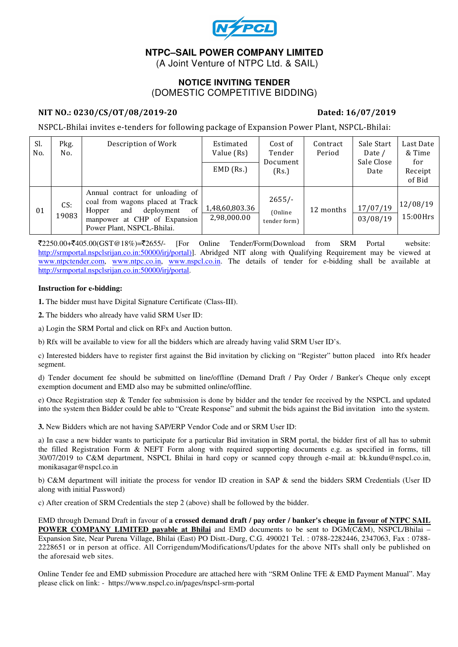

# **NTPC–SAIL POWER COMPANY LIMITED**

(A Joint Venture of NTPC Ltd. & SAIL)

## **NOTICE INVITING TENDER**  (DOMESTIC COMPETITIVE BIDDING)

### NIT NO.: 0230/CS/OT/08/2019-20 Dated: 16/07/2019

NSPCL-Bhilai invites e-tenders for following package of Expansion Power Plant, NSPCL-Bhilai:

| Sl.<br>No. | Pkg.<br>No.  | Description of Work                                                                                                                                                     | Estimated<br>Value (Rs)<br>$EMD$ (Rs.) | Cost of<br>Tender<br>Document<br>(Rs.) | Contract<br>Period | Sale Start<br>Date /<br>Sale Close<br>Date | Last Date<br>& Time<br>for<br>Receipt<br>of Bid |
|------------|--------------|-------------------------------------------------------------------------------------------------------------------------------------------------------------------------|----------------------------------------|----------------------------------------|--------------------|--------------------------------------------|-------------------------------------------------|
| 01         | CS:<br>19083 | Annual contract for unloading of<br>coal from wagons placed at Track<br>of<br>deployment<br>Hopper<br>and<br>manpower at CHP of Expansion<br>Power Plant, NSPCL-Bhilai. | 1,48,60,803.36<br>2,98,000.00          | $2655/-$<br>(Online)<br>tender form)   | 12 months          | 17/07/19<br>03/08/19                       | 12/08/19<br>15:00Hrs                            |

 $\bar{\mathcal{L}}2250.00+\bar{\mathcal{L}}405.00(GST@18\%)=\bar{\mathcal{L}}2655/-.$  [For Online Tender/Form(Download from SRM Portal website: http://srmportal.nspclsrijan.co.in:50000/irj/portal)]. Abridged NIT along with Qualifying Requirement may be viewed at www.ntpctender.com, www.ntpc.co.in, www.nspcl.co.in. The details of tender for e-bidding shall be available at http://srmportal.nspclsrijan.co.in:50000/irj/portal.

#### **Instruction for e-bidding:**

**1.** The bidder must have Digital Signature Certificate (Class-III).

**2.** The bidders who already have valid SRM User ID:

a) Login the SRM Portal and click on RFx and Auction button.

b) Rfx will be available to view for all the bidders which are already having valid SRM User ID's.

c) Interested bidders have to register first against the Bid invitation by clicking on "Register" button placed into Rfx header segment.

d) Tender document fee should be submitted on line/offline (Demand Draft / Pay Order / Banker's Cheque only except exemption document and EMD also may be submitted online/offline.

e) Once Registration step & Tender fee submission is done by bidder and the tender fee received by the NSPCL and updated into the system then Bidder could be able to "Create Response" and submit the bids against the Bid invitation into the system.

**3.** New Bidders which are not having SAP/ERP Vendor Code and or SRM User ID:

a) In case a new bidder wants to participate for a particular Bid invitation in SRM portal, the bidder first of all has to submit the filled Registration Form & NEFT Form along with required supporting documents e.g. as specified in forms, till 30/07/2019 to C&M department, NSPCL Bhilai in hard copy or scanned copy through e-mail at: bk.kundu@nspcl.co.in, monikasagar@nspcl.co.in

b) C&M department will initiate the process for vendor ID creation in SAP & send the bidders SRM Credentials (User ID along with initial Password)

c) After creation of SRM Credentials the step 2 (above) shall be followed by the bidder.

EMD through Demand Draft in favour of **a crossed demand draft / pay order / banker's cheque in favour of NTPC SAIL POWER COMPANY LIMITED payable at Bhilai** and EMD documents to be sent to DGM(C&M), NSPCL/Bhilai – Expansion Site, Near Purena Village, Bhilai (East) PO Distt.-Durg, C.G. 490021 Tel. : 0788-2282446, 2347063, Fax : 0788- 2228651 or in person at office. All Corrigendum/Modifications/Updates for the above NITs shall only be published on the aforesaid web sites.

Online Tender fee and EMD submission Procedure are attached here with "SRM Online TFE & EMD Payment Manual". May please click on link: - https://www.nspcl.co.in/pages/nspcl-srm-portal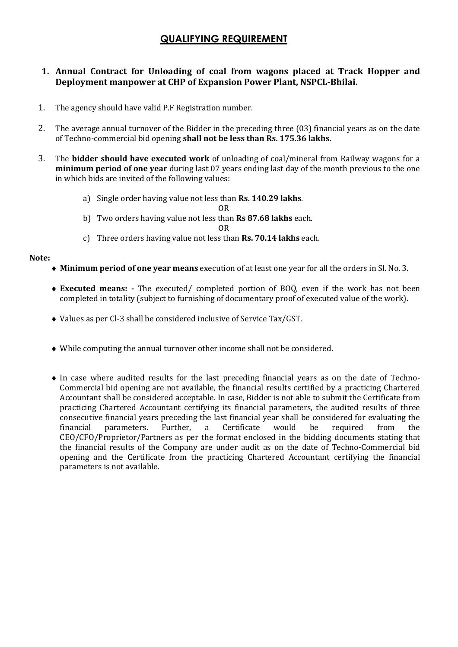# QUALIFYING REQUIREMENT

## 1. Annual Contract for Unloading of coal from wagons placed at Track Hopper and Deployment manpower at CHP of Expansion Power Plant, NSPCL-Bhilai.

- 1. The agency should have valid P.F Registration number.
- 2. The average annual turnover of the Bidder in the preceding three (03) financial years as on the date of Techno-commercial bid opening shall not be less than Rs. 175.36 lakhs.
- 3. The bidder should have executed work of unloading of coal/mineral from Railway wagons for a minimum period of one year during last 07 years ending last day of the month previous to the one in which bids are invited of the following values:
	- a) Single order having value not less than Rs. 140.29 lakhs.
		- OR
	- b) Two orders having value not less than Rs 87.68 lakhs each.

#### OR

c) Three orders having value not less than Rs. 70.14 lakhs each.

#### Note:

- ♦ Minimum period of one year means execution of at least one year for all the orders in Sl. No. 3.
- ♦ Executed means: The executed/ completed portion of BOQ, even if the work has not been completed in totality (subject to furnishing of documentary proof of executed value of the work).
- ♦ Values as per Cl-3 shall be considered inclusive of Service Tax/GST.
- ♦ While computing the annual turnover other income shall not be considered.
- ♦ In case where audited results for the last preceding financial years as on the date of Techno-Commercial bid opening are not available, the financial results certified by a practicing Chartered Accountant shall be considered acceptable. In case, Bidder is not able to submit the Certificate from practicing Chartered Accountant certifying its financial parameters, the audited results of three consecutive financial years preceding the last financial year shall be considered for evaluating the financial parameters. Further, a Certificate would be required from the CEO/CFO/Proprietor/Partners as per the format enclosed in the bidding documents stating that the financial results of the Company are under audit as on the date of Techno-Commercial bid opening and the Certificate from the practicing Chartered Accountant certifying the financial parameters is not available.